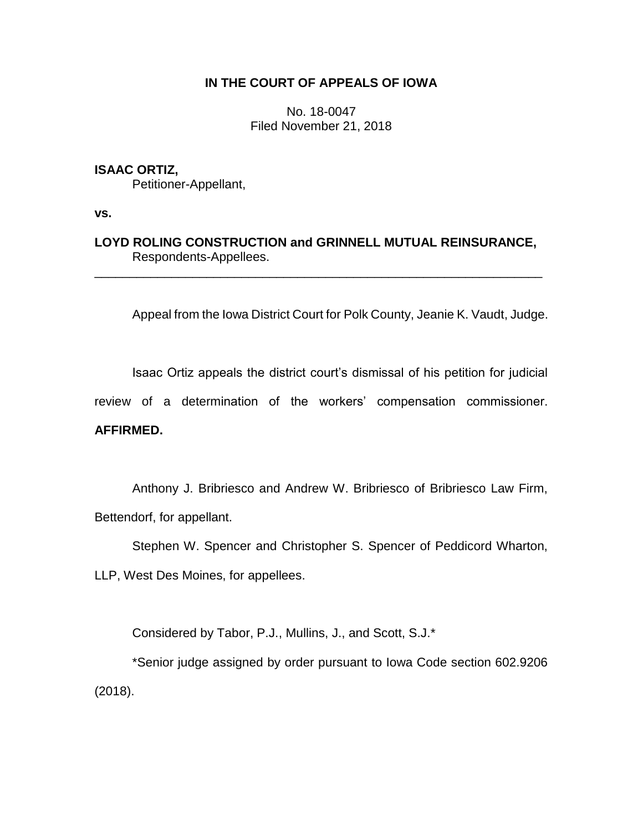# **IN THE COURT OF APPEALS OF IOWA**

No. 18-0047 Filed November 21, 2018

## **ISAAC ORTIZ,**

Petitioner-Appellant,

**vs.**

**LOYD ROLING CONSTRUCTION and GRINNELL MUTUAL REINSURANCE,** Respondents-Appellees.

\_\_\_\_\_\_\_\_\_\_\_\_\_\_\_\_\_\_\_\_\_\_\_\_\_\_\_\_\_\_\_\_\_\_\_\_\_\_\_\_\_\_\_\_\_\_\_\_\_\_\_\_\_\_\_\_\_\_\_\_\_\_\_\_

Appeal from the Iowa District Court for Polk County, Jeanie K. Vaudt, Judge.

Isaac Ortiz appeals the district court's dismissal of his petition for judicial review of a determination of the workers' compensation commissioner.

# **AFFIRMED.**

Anthony J. Bribriesco and Andrew W. Bribriesco of Bribriesco Law Firm, Bettendorf, for appellant.

Stephen W. Spencer and Christopher S. Spencer of Peddicord Wharton,

LLP, West Des Moines, for appellees.

Considered by Tabor, P.J., Mullins, J., and Scott, S.J.\*

\*Senior judge assigned by order pursuant to Iowa Code section 602.9206 (2018).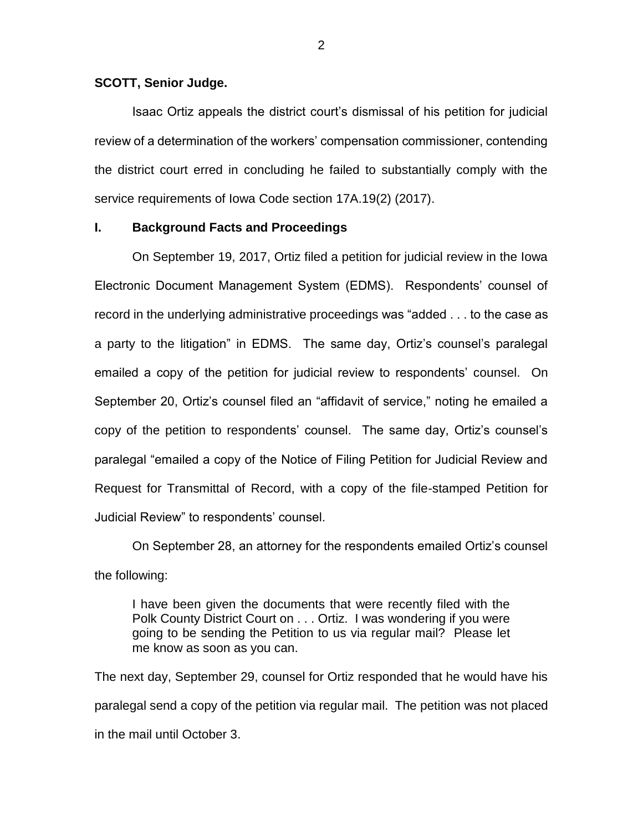#### **SCOTT, Senior Judge.**

Isaac Ortiz appeals the district court's dismissal of his petition for judicial review of a determination of the workers' compensation commissioner, contending the district court erred in concluding he failed to substantially comply with the service requirements of Iowa Code section 17A.19(2) (2017).

# **I. Background Facts and Proceedings**

On September 19, 2017, Ortiz filed a petition for judicial review in the Iowa Electronic Document Management System (EDMS). Respondents' counsel of record in the underlying administrative proceedings was "added . . . to the case as a party to the litigation" in EDMS. The same day, Ortiz's counsel's paralegal emailed a copy of the petition for judicial review to respondents' counsel. On September 20, Ortiz's counsel filed an "affidavit of service," noting he emailed a copy of the petition to respondents' counsel. The same day, Ortiz's counsel's paralegal "emailed a copy of the Notice of Filing Petition for Judicial Review and Request for Transmittal of Record, with a copy of the file-stamped Petition for Judicial Review" to respondents' counsel.

On September 28, an attorney for the respondents emailed Ortiz's counsel the following:

I have been given the documents that were recently filed with the Polk County District Court on . . . Ortiz. I was wondering if you were going to be sending the Petition to us via regular mail? Please let me know as soon as you can.

The next day, September 29, counsel for Ortiz responded that he would have his paralegal send a copy of the petition via regular mail. The petition was not placed in the mail until October 3.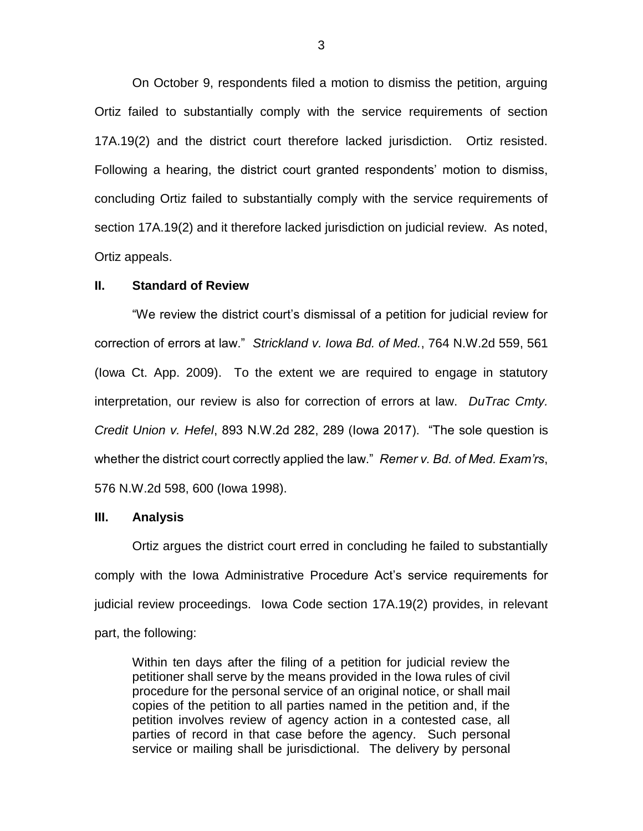On October 9, respondents filed a motion to dismiss the petition, arguing Ortiz failed to substantially comply with the service requirements of section 17A.19(2) and the district court therefore lacked jurisdiction. Ortiz resisted. Following a hearing, the district court granted respondents' motion to dismiss, concluding Ortiz failed to substantially comply with the service requirements of section 17A.19(2) and it therefore lacked jurisdiction on judicial review. As noted, Ortiz appeals.

#### **II. Standard of Review**

"We review the district court's dismissal of a petition for judicial review for correction of errors at law." *Strickland v. Iowa Bd. of Med.*, 764 N.W.2d 559, 561 (Iowa Ct. App. 2009). To the extent we are required to engage in statutory interpretation, our review is also for correction of errors at law. *DuTrac Cmty. Credit Union v. Hefel*, 893 N.W.2d 282, 289 (Iowa 2017). "The sole question is whether the district court correctly applied the law." *Remer v. Bd. of Med. Exam'rs*, 576 N.W.2d 598, 600 (Iowa 1998).

## **III. Analysis**

Ortiz argues the district court erred in concluding he failed to substantially comply with the Iowa Administrative Procedure Act's service requirements for judicial review proceedings. Iowa Code section 17A.19(2) provides, in relevant part, the following:

Within ten days after the filing of a petition for judicial review the petitioner shall serve by the means provided in the Iowa rules of civil procedure for the personal service of an original notice, or shall mail copies of the petition to all parties named in the petition and, if the petition involves review of agency action in a contested case, all parties of record in that case before the agency. Such personal service or mailing shall be jurisdictional. The delivery by personal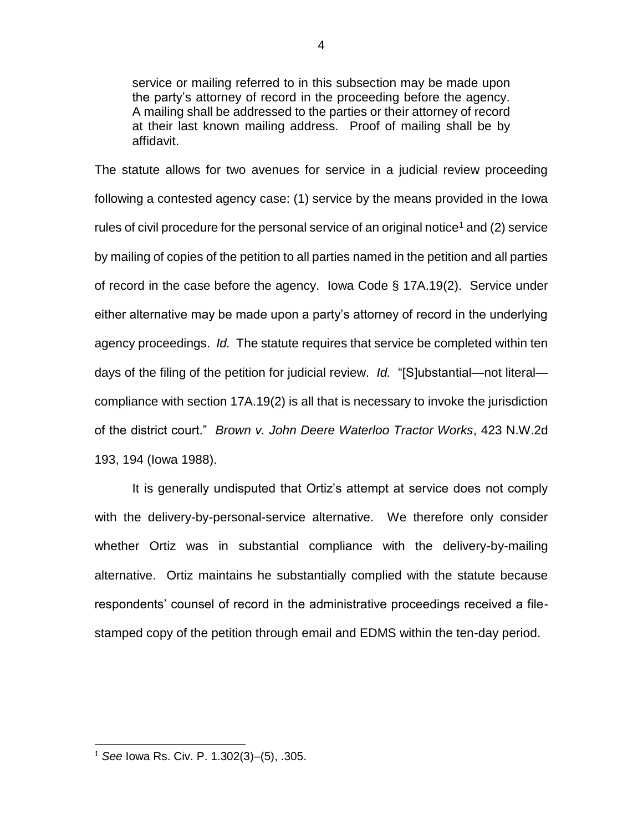service or mailing referred to in this subsection may be made upon the party's attorney of record in the proceeding before the agency. A mailing shall be addressed to the parties or their attorney of record at their last known mailing address. Proof of mailing shall be by affidavit.

The statute allows for two avenues for service in a judicial review proceeding following a contested agency case: (1) service by the means provided in the Iowa rules of civil procedure for the personal service of an original notice<sup>1</sup> and (2) service by mailing of copies of the petition to all parties named in the petition and all parties of record in the case before the agency. Iowa Code § 17A.19(2). Service under either alternative may be made upon a party's attorney of record in the underlying agency proceedings. *Id.* The statute requires that service be completed within ten days of the filing of the petition for judicial review. *Id.* "[S]ubstantial—not literal compliance with section 17A.19(2) is all that is necessary to invoke the jurisdiction of the district court." *Brown v. John Deere Waterloo Tractor Works*, 423 N.W.2d 193, 194 (Iowa 1988).

It is generally undisputed that Ortiz's attempt at service does not comply with the delivery-by-personal-service alternative. We therefore only consider whether Ortiz was in substantial compliance with the delivery-by-mailing alternative. Ortiz maintains he substantially complied with the statute because respondents' counsel of record in the administrative proceedings received a filestamped copy of the petition through email and EDMS within the ten-day period.

 $\overline{a}$ 

<sup>1</sup> *See* Iowa Rs. Civ. P. 1.302(3)–(5), .305.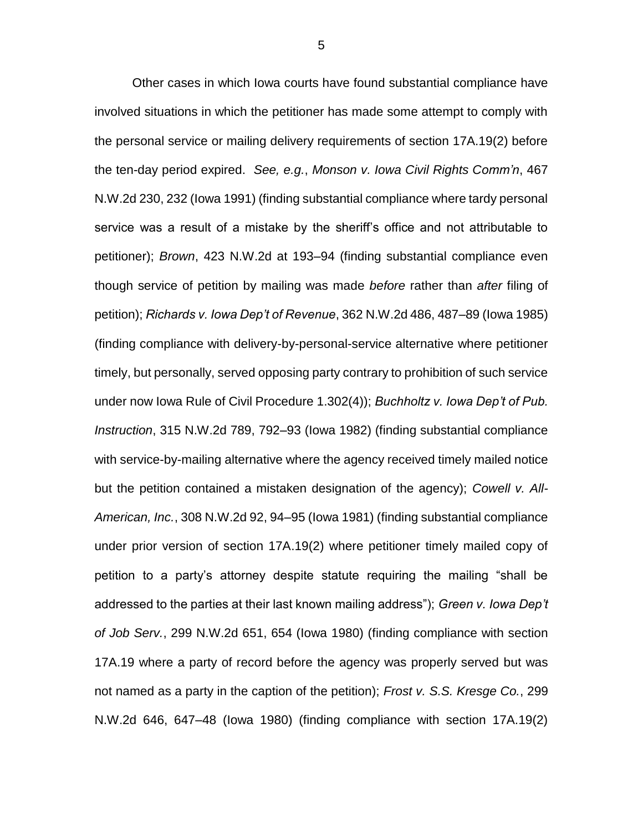Other cases in which Iowa courts have found substantial compliance have involved situations in which the petitioner has made some attempt to comply with the personal service or mailing delivery requirements of section 17A.19(2) before the ten-day period expired. *See, e.g.*, *Monson v. Iowa Civil Rights Comm'n*, 467 N.W.2d 230, 232 (Iowa 1991) (finding substantial compliance where tardy personal service was a result of a mistake by the sheriff's office and not attributable to petitioner); *Brown*, 423 N.W.2d at 193–94 (finding substantial compliance even though service of petition by mailing was made *before* rather than *after* filing of petition); *Richards v. Iowa Dep't of Revenue*, 362 N.W.2d 486, 487–89 (Iowa 1985) (finding compliance with delivery-by-personal-service alternative where petitioner timely, but personally, served opposing party contrary to prohibition of such service under now Iowa Rule of Civil Procedure 1.302(4)); *Buchholtz v. Iowa Dep't of Pub. Instruction*, 315 N.W.2d 789, 792–93 (Iowa 1982) (finding substantial compliance with service-by-mailing alternative where the agency received timely mailed notice but the petition contained a mistaken designation of the agency); *Cowell v. All-American, Inc.*, 308 N.W.2d 92, 94–95 (Iowa 1981) (finding substantial compliance under prior version of section 17A.19(2) where petitioner timely mailed copy of petition to a party's attorney despite statute requiring the mailing "shall be addressed to the parties at their last known mailing address"); *Green v. Iowa Dep't of Job Serv.*, 299 N.W.2d 651, 654 (Iowa 1980) (finding compliance with section 17A.19 where a party of record before the agency was properly served but was not named as a party in the caption of the petition); *Frost v. S.S. Kresge Co.*, 299 N.W.2d 646, 647–48 (Iowa 1980) (finding compliance with section 17A.19(2)